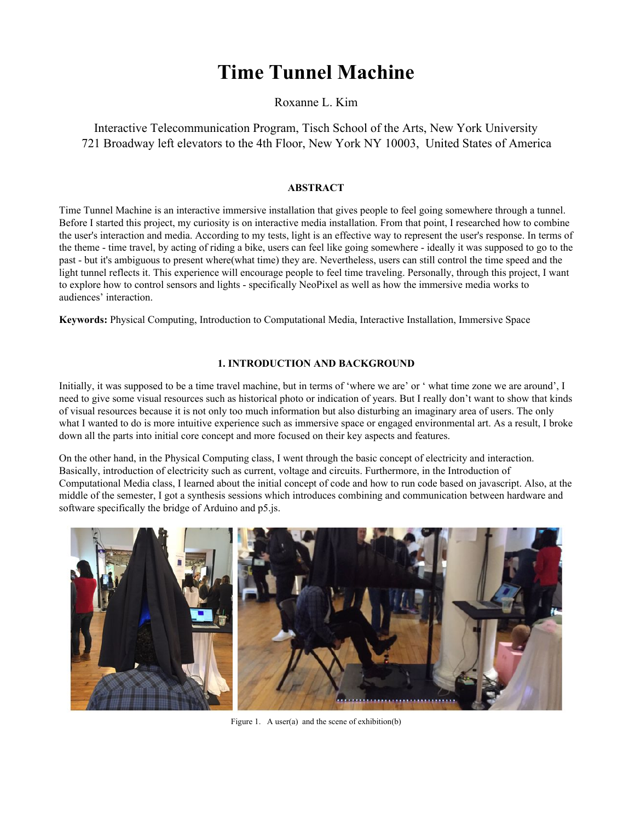# **Time Tunnel Machine**

Roxanne L. Kim

Interactive Telecommunication Program, Tisch School of the Arts, New York University 721 Broadway left elevators to the 4th Floor, New York NY 10003, United States of America

# **ABSTRACT**

Time Tunnel Machine is an interactive immersive installation that gives people to feel going somewhere through a tunnel. Before I started this project, my curiosity is on interactive media installation. From that point, I researched how to combine the user's interaction and media. According to my tests, light is an effective way to represent the user's response. In terms of the theme - time travel, by acting of riding a bike, users can feel like going somewhere - ideally it was supposed to go to the past - but it's ambiguous to present where(what time) they are. Nevertheless, users can still control the time speed and the light tunnel reflects it. This experience will encourage people to feel time traveling. Personally, through this project, I want to explore how to control sensors and lights - specifically NeoPixel as well as how the immersive media works to audiences' interaction.

**Keywords:** Physical Computing, Introduction to Computational Media, Interactive Installation, Immersive Space

# **1. INTRODUCTION AND BACKGROUND**

Initially, it was supposed to be a time travel machine, but in terms of 'where we are' or ' what time zone we are around', I need to give some visual resources such as historical photo or indication of years. But I really don't want to show that kinds of visual resources because it is not only too much information but also disturbing an imaginary area of users. The only what I wanted to do is more intuitive experience such as immersive space or engaged environmental art. As a result, I broke down all the parts into initial core concept and more focused on their key aspects and features.

On the other hand, in the Physical Computing class, I went through the basic concept of electricity and interaction. Basically, introduction of electricity such as current, voltage and circuits. Furthermore, in the Introduction of Computational Media class, I learned about the initial concept of code and how to run code based on javascript. Also, at the middle of the semester, I got a synthesis sessions which introduces combining and communication between hardware and software specifically the bridge of Arduino and p5.js.



Figure 1. A user(a) and the scene of exhibition(b)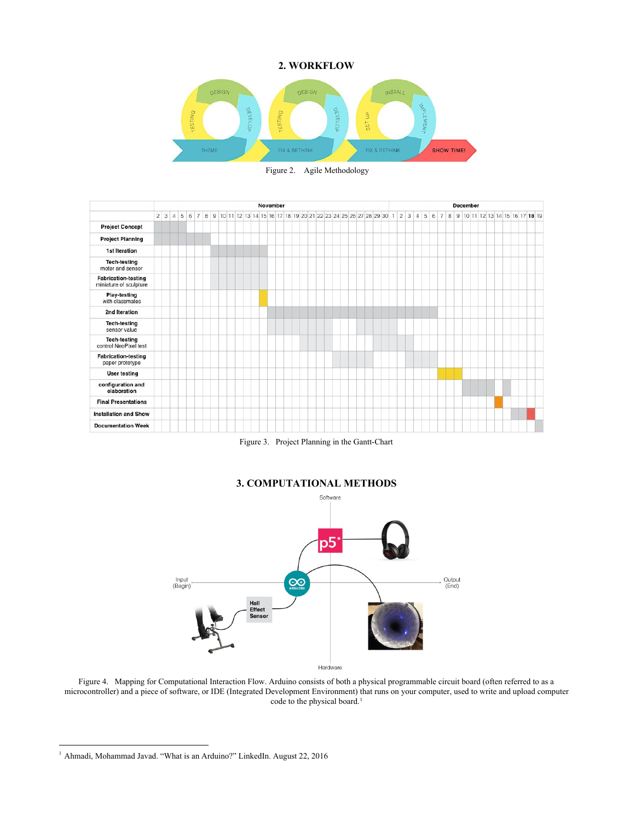#### **2. WORKFLOW**



Figure 2. Agile Methodology



Figure 3. Project Planning in the Gantt-Chart



Figure 4. Mapping for Computational Interaction Flow. Arduino consists of both a physical programmable circuit board (often referred to as a microcontroller) and a piece of software, or IDE (Integrated Development Environment) that runs on your computer, used to write and upload computer code to the physical board.<sup>1</sup>

<sup>&</sup>lt;sup>1</sup> Ahmadi, Mohammad Javad. "What is an Arduino?" LinkedIn. August 22, 2016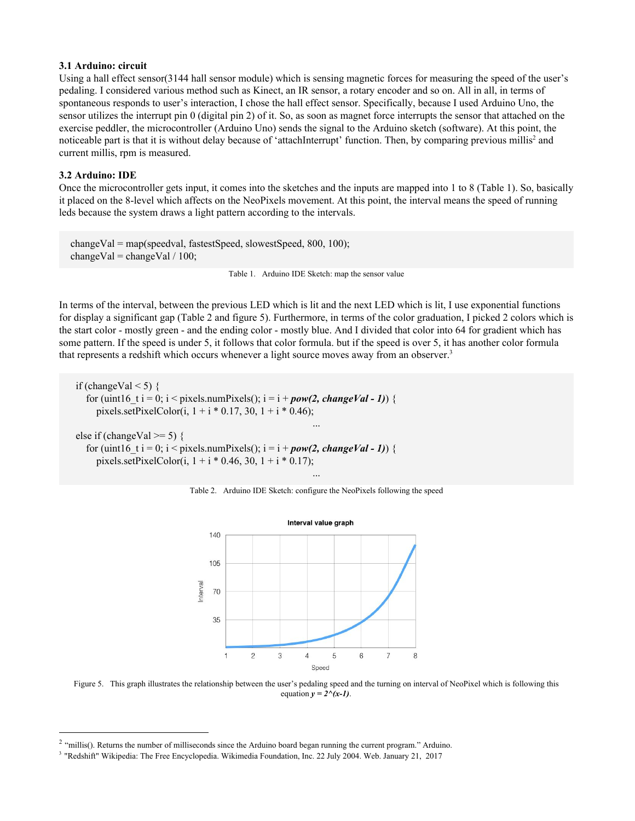#### **3.1 Arduino: circuit**

Using a hall effect sensor(3144 hall sensor module) which is sensing magnetic forces for measuring the speed of the user's pedaling. I considered various method such as Kinect, an IR sensor, a rotary encoder and so on. All in all, in terms of spontaneous responds to user's interaction, I chose the hall effect sensor. Specifically, because I used Arduino Uno, the sensor utilizes the interrupt pin 0 (digital pin 2) of it. So, as soon as magnet force interrupts the sensor that attached on the exercise peddler, the microcontroller (Arduino Uno) sends the signal to the Arduino sketch (software). At this point, the noticeable part is that it is without delay because of 'attachInterrupt' function. Then, by comparing previous millis<sup>2</sup> and current millis, rpm is measured.

## **3.2 Arduino: IDE**

Once the microcontroller gets input, it comes into the sketches and the inputs are mapped into 1 to 8 (Table 1). So, basically it placed on the 8-level which affects on the NeoPixels movement. At this point, the interval means the speed of running leds because the system draws a light pattern according to the intervals.

 changeVal = map(speedval, fastestSpeed, slowestSpeed, 800, 100); changeVal = changeVal  $/ 100$ ;

Table 1. Arduino IDE Sketch: map the sensor value

In terms of the interval, between the previous LED which is lit and the next LED which is lit, I use exponential functions for display a significant gap (Table 2 and figure 5). Furthermore, in terms of the color graduation, I picked 2 colors which is the start color - mostly green - and the ending color - mostly blue. And I divided that color into 64 for gradient which has some pattern. If the speed is under 5, it follows that color formula. but if the speed is over 5, it has another color formula that represents a redshift which occurs whenever a light source moves away from an observer. 3

if (changeVal  $\leq$  5) { for (uint16 t i = 0; i < pixels.numPixels();  $i = i + pow(2, changeVal - 1)$ ) { pixels.setPixelColor(i,  $1 + i * 0.17$ , 30,  $1 + i * 0.46$ ); ...

else if (changeVal  $\ge$ = 5) { for (uint16 t i = 0; i < pixels.numPixels();  $i = i + pow(2, changeVal - 1)$  { pixels.setPixelColor(i,  $1 + i * 0.46$ , 30,  $1 + i * 0.17$ );





Figure 5. This graph illustrates the relationship between the user's pedaling speed and the turning on interval of NeoPixel which is following this equation  $y = 2^x(x-1)$ .

<sup>&</sup>lt;sup>2</sup> "millis(). Returns the number of milliseconds since the Arduino board began running the current program." Arduino.

<sup>3</sup> "Redshift" Wikipedia: The Free Encyclopedia. Wikimedia Foundation, Inc. 22 July 2004. Web. January 21, 2017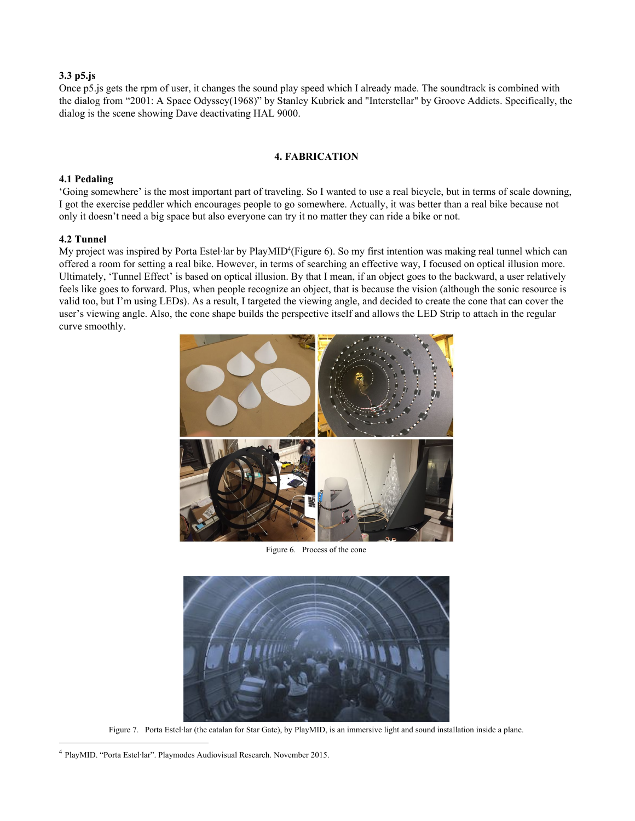# **3.3 p5.js**

Once p5.js gets the rpm of user, it changes the sound play speed which I already made. The soundtrack is combined with the dialog from "2001: A Space Odyssey(1968)" by Stanley Kubrick and "Interstellar" by Groove Addicts. Specifically, the dialog is the scene showing Dave deactivating HAL 9000.

## **4. FABRICATION**

#### **4.1 Pedaling**

'Going somewhere' is the most important part of traveling. So I wanted to use a real bicycle, but in terms of scale downing, I got the exercise peddler which encourages people to go somewhere. Actually, it was better than a real bike because not only it doesn't need a big space but also everyone can try it no matter they can ride a bike or not.

## **4.2 Tunnel**

My project was inspired by Porta Estel·lar by PlayMID<sup>4</sup>(Figure 6). So my first intention was making real tunnel which can offered a room for setting a real bike. However, in terms of searching an effective way, I focused on optical illusion more. Ultimately, 'Tunnel Effect' is based on optical illusion. By that I mean, if an object goes to the backward, a user relatively feels like goes to forward. Plus, when people recognize an object, that is because the vision (although the sonic resource is valid too, but I'm using LEDs). As a result, I targeted the viewing angle, and decided to create the cone that can cover the user's viewing angle. Also, the cone shape builds the perspective itself and allows the LED Strip to attach in the regular curve smoothly.



Figure 6. Process of the cone



Figure 7. Porta Estel·lar (the catalan for Star Gate), by PlayMID, is an immersive light and sound installation inside a plane.

<sup>4</sup> PlayMID. "Porta Estel·lar". Playmodes Audiovisual Research. November 2015.